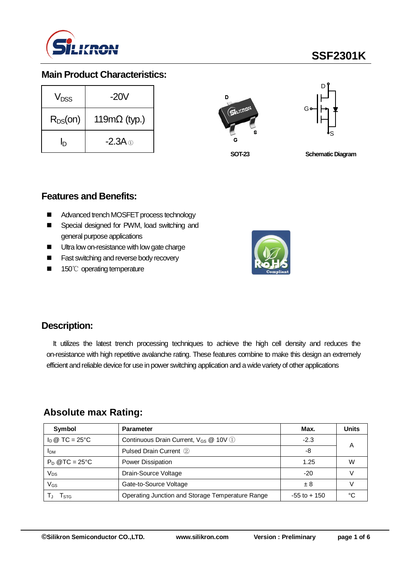

# **SSF2301K**

## **Main Product Characteristics:**

| V <sub>DSS</sub> | $-20V$               |
|------------------|----------------------|
| $R_{DS}(on)$     | 119m $\Omega$ (typ.) |
| h                | $-2.3A \odot$        |





**SOT-23**

**Schematic Diagram** 

### **Features and Benefits:**

- Advanced trench MOSFET process technology
- Special designed for PWM, load switching and general purpose applications
- Ultra low on-resistance with low gate charge
- **Fast switching and reverse body recovery**
- 150℃ operating temperature



## **Description:**

It utilizes the latest trench processing techniques to achieve the high cell density and reduces the on-resistance with high repetitive avalanche rating. These features combine to make this design an extremely efficient and reliable device for use in power switching application and a wide variety of other applications

## **Absolute max Rating:**

| Symbol                         | <b>Parameter</b>                                  | Max.            | <b>Units</b> |
|--------------------------------|---------------------------------------------------|-----------------|--------------|
| $I_D \otimes TC = 25^{\circ}C$ | Continuous Drain Current, V <sub>GS</sub> @ 10V 1 | $-2.3$          | А            |
| <b>IDM</b>                     | Pulsed Drain Current 2                            | -8              |              |
| $P_D$ @TC = 25°C               | Power Dissipation                                 | 1.25            | W            |
| Vps                            | Drain-Source Voltage                              | $-20$           |              |
| VGs                            | Gate-to-Source Voltage                            | ± 8             |              |
| l stg                          | Operating Junction and Storage Temperature Range  | $-55$ to $+150$ | ∘∩           |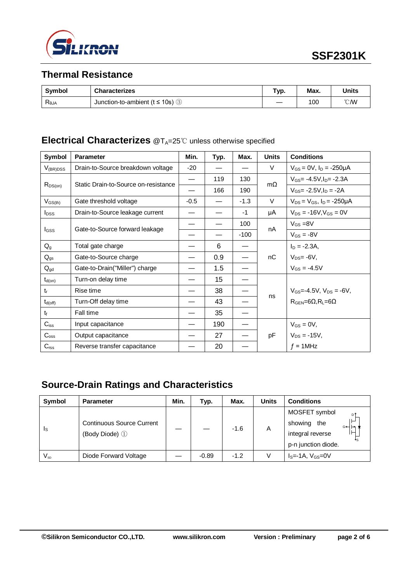

## **Thermal Resistance**

| <b>Symbol</b>  | <b>Characterizes</b>                               | Гур. | Max. | Units         |
|----------------|----------------------------------------------------|------|------|---------------|
| $R_{\theta$ JA | Junction-to-ambient ( $t \le 10$ s) $\circledcirc$ |      | 100  | $\degree$ CMV |

# **Electrical Characterizes** @T<sub>A</sub>=25℃ unless otherwise specified

| Symbol           | <b>Parameter</b>                     | Min.                     | Typ. | Max.   | <b>Units</b> | <b>Conditions</b>                         |
|------------------|--------------------------------------|--------------------------|------|--------|--------------|-------------------------------------------|
| $V_{(BR)DSS}$    | Drain-to-Source breakdown voltage    | $-20$                    |      |        | V            | $V_{GS} = 0V$ , $I_D = -250\mu A$         |
|                  | Static Drain-to-Source on-resistance | $\overline{\phantom{0}}$ | 119  | 130    | $m\Omega$    | $V_{GS} = -4.5V$ , $I_{D} = -2.3A$        |
| $R_{DS(on)}$     |                                      |                          | 166  | 190    |              | $V_{GS} = -2.5V I_D = -2A$                |
| $V_{GS(th)}$     | Gate threshold voltage               | $-0.5$                   |      | $-1.3$ | $\vee$       | $V_{DS} = V_{GS}$ , $I_D = -250 \mu A$    |
| $I_{DSS}$        | Drain-to-Source leakage current      |                          |      | $-1$   | μA           | $V_{DS} = -16V$ , $V_{GS} = 0V$           |
|                  |                                      |                          |      | 100    |              | $V_{GS} = 8V$                             |
| I <sub>GSS</sub> | Gate-to-Source forward leakage       |                          |      | $-100$ | nA           | $V_{GS} = -8V$                            |
| $Q_{g}$          | Total gate charge                    |                          | 6    |        |              | $I_D = -2.3A$                             |
| $Q_{gs}$         | Gate-to-Source charge                |                          | 0.9  |        | nC           | $V_{DS} = -6V$ ,                          |
| $Q_{gd}$         | Gate-to-Drain("Miller") charge       |                          | 1.5  |        |              | $V_{GS} = -4.5V$                          |
| $t_{d(on)}$      | Turn-on delay time                   |                          | 15   |        |              |                                           |
| $t_{r}$          | Rise time                            |                          | 38   |        |              | $V_{GS} = -4.5V$ , $V_{DS} = -6V$ ,       |
| $t_{d(off)}$     | Turn-Off delay time                  |                          | 43   |        | ns           | $R_{\text{GEN}} = 6\Omega, R_1 = 6\Omega$ |
| $t_{\rm f}$      | Fall time                            |                          | 35   |        |              |                                           |
| $C_{iss}$        | Input capacitance                    |                          | 190  |        |              | $V_{GS} = 0V$ ,                           |
| $C_{\rm oss}$    | Output capacitance                   |                          | 27   |        | pF           | $V_{DS} = -15V$ ,                         |
| $C_{\text{rss}}$ | Reverse transfer capacitance         |                          | 20   |        |              | $f = 1$ MHz                               |

# **Source-Drain Ratings and Characteristics**

| Symbol                  | <b>Parameter</b>                                   | Min. | Typ.    | Max.   | <b>Units</b> | <b>Conditions</b>                                                                      |  |
|-------------------------|----------------------------------------------------|------|---------|--------|--------------|----------------------------------------------------------------------------------------|--|
| $\mathsf{I}_\mathsf{S}$ | <b>Continuous Source Current</b><br>(Body Diode) 1 |      |         | $-1.6$ | A            | MOSFET symbol<br>D<br>showing<br>the<br>⊶⊢∽<br>integral reverse<br>p-n junction diode. |  |
| $V_{\textrm{\tiny SD}}$ | Diode Forward Voltage                              |      | $-0.89$ | $-1.2$ |              | $IS=-1A, VGS=0V$                                                                       |  |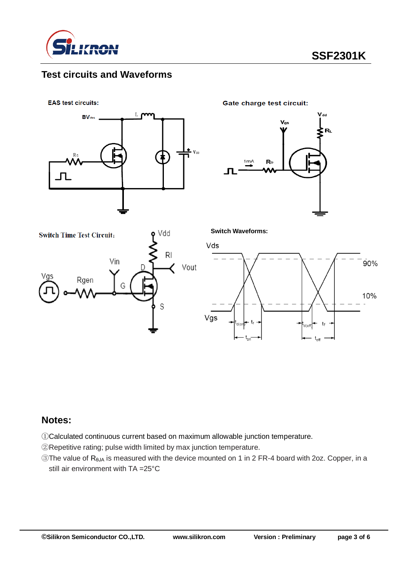

## **Test circuits and Waveforms**

**EAS test circuits:** 



**Gate charge test circuit:** 







**Switch Waveforms:**



#### **Notes:**

①Calculated continuous current based on maximum allowable junction temperature.

②Repetitive rating; pulse width limited by max junction temperature.

③The value of RθJA is measured with the device mounted on 1 in 2 FR-4 board with 2oz. Copper, in a still air environment with TA =25°C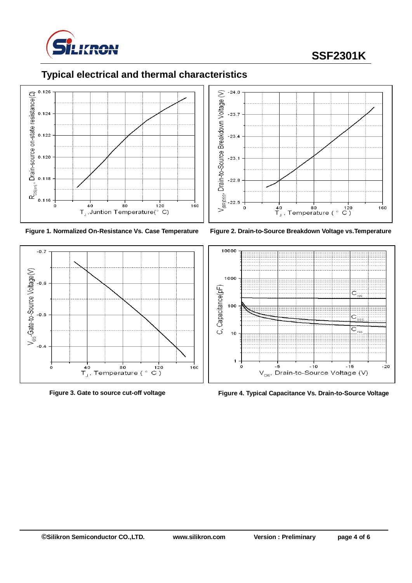

# **SSF2301K**

# **Typical electrical and thermal characteristics**













**Figure 3. Gate to source cut-off voltage Figure 4. Typical Capacitance Vs. Drain-to-Source Voltage**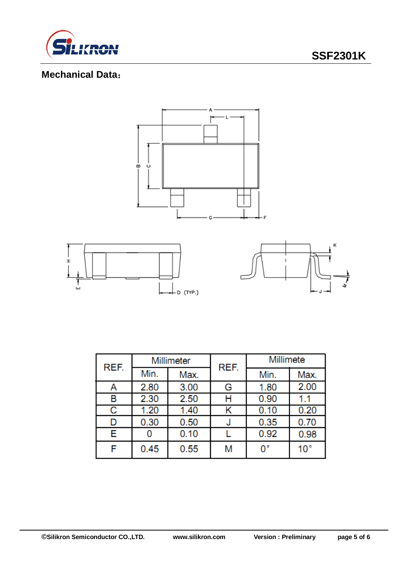

# **Mechanical Data**:



| REF. | Millimeter |      | REF. | Millimete |                 |  |
|------|------------|------|------|-----------|-----------------|--|
|      | Min.       | Max. |      | Min.      | Max.            |  |
| А    | 2.80       | 3.00 | G    | 1.80      | 2.00            |  |
| в    | 2.30       | 2.50 | н    | 0.90      | 1.1             |  |
| С    | 1.20       | 1.40 |      | 0.10      | 0.20            |  |
| D    | 0.30       | 0.50 | J    | 0.35      | 0.70            |  |
| Е    |            | 0.10 |      | 0.92      | 0.98            |  |
| F    | 0.45       | 0.55 | M    | 0°        | 10 <sup>°</sup> |  |